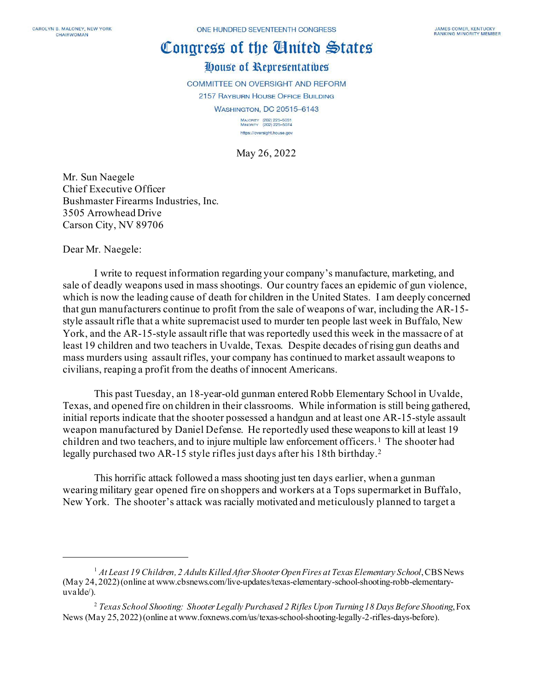## Congress of the Cinited States

## House of Representatives

**COMMITTEE ON OVERSIGHT AND REFORM** 2157 RAYBURN HOUSE OFFICE BUILDING

WASHINGTON, DC 20515-6143

MAJORITY (202) 225-5051<br>MINORITY (202) 225-5074 https://oversight.house.gov

May 26, 2022

Mr. Sun Naegele Chief Executive Officer Bushmaster Firearms Industries, Inc. 3505 Arrowhead Drive Carson City, NV 89706

Dear Mr. Naegele:

I write to request information regarding your company's manufacture, marketing, and sale of deadly weapons used in mass shootings. Our country faces an epidemic of gun violence, which is now the leading cause of death for children in the United States. I am deeply concerned that gun manufacturers continue to profit from the sale of weapons of war, including the AR-15 style assault rifle that a white supremacist used to murder ten people last week in Buffalo, New York, and the AR-15-style assault rifle that was reportedly used this week in the massacre of at least 19 children and two teachers in Uvalde, Texas. Despite decades of rising gun deaths and mass murders using assault rifles, your company has continued to market assault weapons to civilians, reaping a profit from the deaths of innocent Americans.

This past Tuesday, an 18-year-old gunman enteredRobb Elementary School in Uvalde, Texas, and opened fire on children in their classrooms. While information is still being gathered, initial reports indicate that the shooter possessed a handgun and at least one AR-15-style assault weapon manufactured by Daniel Defense. He reportedly used these weapons to kill at least 19 children and two teachers, and to injure multiple law enforcement officers. [1](#page-0-0) The shooter had legally purchased two AR-15 style rifles just days after his 18th birthday.[2](#page-0-1)

This horrific attack followed a mass shooting just ten days earlier, when a gunman wearing military gear opened fire on shoppers and workers at a Tops supermarket in Buffalo, New York. The shooter's attack was racially motivated and meticulously planned to target a

<span id="page-0-0"></span><sup>1</sup> *At Least 19 Children, 2 Adults Killed After Shooter Open Fires at Texas Elementary School*, CBS News (May 24, 2022) (online at www.cbsnews.com/live-updates/texas-elementary-school-shooting-robb-elementaryuvalde/).

<span id="page-0-1"></span><sup>2</sup> *Texas School Shooting: Shooter Legally Purchased 2 Rifles Upon Turning 18 Days Before Shooting*, Fox News (May 25, 2022) (online at www.foxnews.com/us/texas-school-shooting-legally-2-rifles-days-before).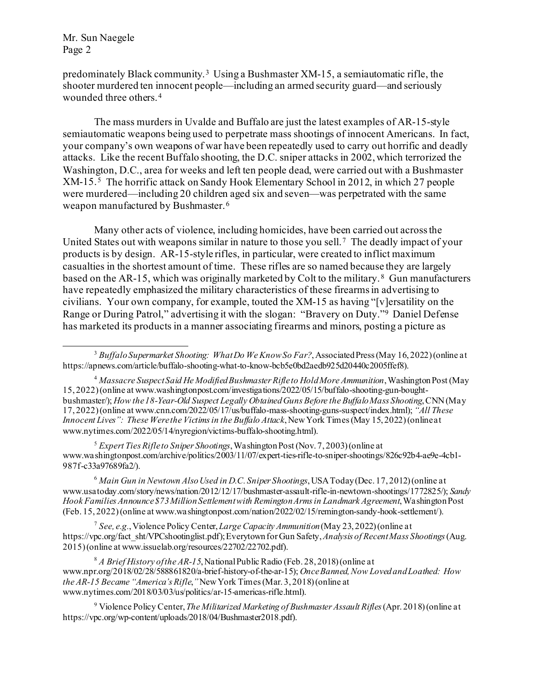predominately Black community. [3](#page-1-0) Using a Bushmaster XM-15, a semiautomatic rifle, the shooter murdered ten innocent people—including an armed security guard—and seriously wounded three others.[4](#page-1-1) 

The mass murders in Uvalde and Buffalo are just the latest examples of AR-15-style semiautomatic weapons being used to perpetrate mass shootings of innocent Americans. In fact, your company's own weapons of war have been repeatedly used to carry out horrific and deadly attacks. Like the recent Buffalo shooting, the D.C. sniper attacks in 2002, which terrorized the Washington, D.C., area for weeks and left ten people dead, were carried out with a Bushmaster XM-15. [5](#page-1-2) The horrific attack on Sandy Hook Elementary School in 2012, in which 27 people were murdered—including 20 children aged six and seven—was perpetrated with the same weapon manufactured by Bushmaster.[6](#page-1-3)

Many other acts of violence, including homicides, have been carried out across the United States out with weapons similar in nature to those you sell.[7](#page-1-4) The deadly impact of your products is by design. AR-15-style rifles, in particular, were created to inflict maximum casualties in the shortest amount of time. These rifles are so named because they are largely based on the AR-15, which was originally marketed by Colt to the military.<sup>8</sup> Gun manufacturers have repeatedly emphasized the military characteristics of these firearmsin advertising to civilians. Your own company, for example, touted the XM-15 as having "[v]ersatility on the Range or During Patrol," advertising it with the slogan: "Bravery on Duty."[9](#page-1-6) Daniel Defense has marketed its products in a manner associating firearms and minors, posting a picture as

<span id="page-1-2"></span><sup>5</sup> *Expert Ties Rifle to Sniper Shootings*, Washington Post (Nov. 7, 2003) (online at www.washingtonpost.com/archive/politics/2003/11/07/expert-ties-rifle-to-sniper-shootings/826c92b4-ae9e-4cb1- 987f-c33a97689fa2/).

<span id="page-1-3"></span><sup>6</sup> *Main Gun in Newtown Also Used in D.C. Sniper Shootings*, USA Today (Dec. 17, 2012) (online at www.usatoday.com/story/news/nation/2012/12/17/bushmaster-assault-rifle-in-newtown-shootings/1772825/); *Sandy Hook Families Announce \$73 Million Settlement with Remington Arms in Landmark Agreement*, Washington Post (Feb. 15, 2022) (online at www.washingtonpost.com/nation/2022/02/15/remington-sandy-hook-settlement/).

<span id="page-1-4"></span><sup>7</sup> *See, e.g.*, Violence Policy Center, *Large Capacity Ammunition*(May 23, 2022) (online at https://vpc.org/fact\_sht/VPCshootinglist.pdf); Everytown for Gun Safety,*Analysis of Recent Mass Shootings*(Aug. 2015) (online at www.issuelab.org/resources/22702/22702.pdf).

<span id="page-1-5"></span><sup>8</sup> *A Brief History of the AR-15*, National Public Radio (Feb. 28, 2018) (online at www.npr.org/2018/02/28/588861820/a-brief-history-of-the-ar-15); *Once Banned, Now Loved and Loathed: How the AR-15 Became "America's Rifle*,*"*New York Times (Mar. 3, 2018) (online at www.nytimes.com/2018/03/03/us/politics/ar-15-americas-rifle.html).

<span id="page-1-6"></span><sup>9</sup> Violence Policy Center, *The Militarized Marketing of Bushmaster Assault Rifles*(Apr. 2018) (online at https://vpc.org/wp-content/uploads/2018/04/Bushmaster2018.pdf).

<span id="page-1-0"></span><sup>3</sup> *Buffalo Supermarket Shooting: What Do We Know So Far?*, Associated Press (May 16, 2022) (online at https://apnews.com/article/buffalo-shooting-what-to-know-bcb5e0bd2aedb925d20440c2005ffef8).

<span id="page-1-1"></span><sup>4</sup> *Massacre Suspect Said He Modified Bushmaster Rifle to Hold More Ammunition*, Washington Post (May 15, 2022) (online at www.washingtonpost.com/investigations/2022/05/15/buffalo-shooting-gun-boughtbushmaster/); *How the 18-Year-Old Suspect Legally Obtained Guns Before the Buffalo Mass Shooting*, CNN (May 17, 2022) (online at www.cnn.com/2022/05/17/us/buffalo-mass-shooting-guns-suspect/index.html); *"All These Innocent Lives": These Were the Victims in the Buffalo Attack*, New York Times (May 15, 2022) (online at www.nytimes.com/2022/05/14/nyregion/victims-buffalo-shooting.html).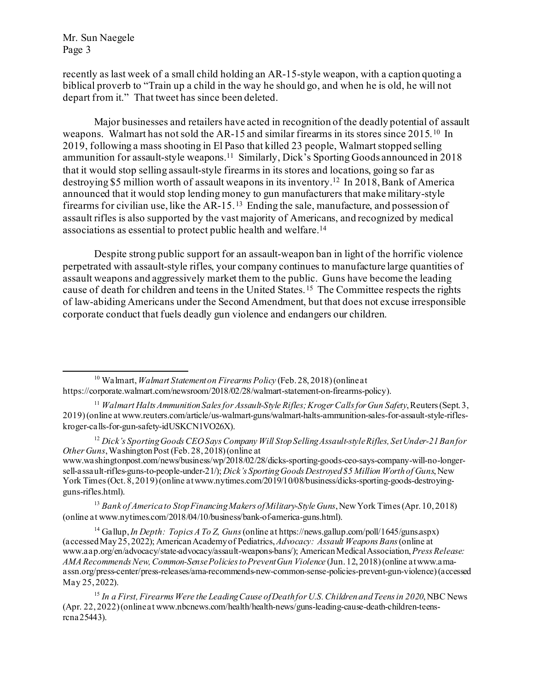recently as last week of a small child holding an AR-15-style weapon, with a caption quoting a biblical proverb to "Train up a child in the way he should go, and when he is old, he will not depart from it." That tweet has since been deleted.

Major businesses and retailers have acted in recognition of the deadly potential of assault weapons. Walmart has not sold the AR-15 and similar firearms in its stores since 2015.[10](#page-2-0) In 2019, following a mass shooting in El Paso that killed 23 people, Walmart stopped selling ammunition for assault-style weapons.<sup>[11](#page-2-1)</sup> Similarly, Dick's Sporting Goods announced in 2018 that it would stop selling assault-style firearms in its stores and locations, going so far as destroying \$5 million worth of assault weapons in its inventory.[12](#page-2-2) In 2018, Bank of America announced that it would stop lending money to gun manufacturers that make military-style firearms for civilian use, like the AR-15.<sup>[13](#page-2-3)</sup> Ending the sale, manufacture, and possession of assault rifles is also supported by the vast majority of Americans, and recognized by medical associations as essential to protect public health and welfare[.14](#page-2-4)

Despite strong public support for an assault-weapon ban in light of the horrific violence perpetrated with assault-style rifles, your company continues to manufacture large quantities of assault weapons and aggressively market them to the public. Guns have become the leading cause of death for children and teens in the United States.[15](#page-2-5) The Committee respects the rights of law-abiding Americans under the Second Amendment, but that does not excuse irresponsible corporate conduct that fuels deadly gun violence and endangers our children.

<span id="page-2-3"></span><sup>13</sup> *Bank of America to Stop Financing Makers of Military-Style Guns*, New York Times (Apr. 10, 2018) (online at www.nytimes.com/2018/04/10/business/bank-of-america-guns.html).

<span id="page-2-4"></span><sup>14</sup> Gallup, *In Depth: Topics A To Z, Guns*(online at https://news.gallup.com/poll/1645/guns.aspx) (accessed May 25, 2022); American Academy of Pediatrics, *Advocacy: Assault Weapons Bans*(online at www.aap.org/en/advocacy/state-advocacy/assault-weapons-bans/); American Medical Association, *Press Release: AMA Recommends New, Common-Sense Policies to Prevent Gun Violence* (Jun. 12, 2018) (online at www.amaassn.org/press-center/press-releases/ama-recommends-new-common-sense-policies-prevent-gun-violence)(accessed May 25, 2022).

<span id="page-2-0"></span><sup>10</sup> Walmart,*Walmart Statement on Firearms Policy* (Feb. 28, 2018) (online at https://corporate.walmart.com/newsroom/2018/02/28/walmart-statement-on-firearms-policy).

<span id="page-2-1"></span><sup>&</sup>lt;sup>11</sup> *Walmart Halts Ammunition Sales for Assault-Style Rifles; Kroger Calls for Gun Safety*, Reuters (Sept. 3, 2019) (online at www.reuters.com/article/us-walmart-guns/walmart-halts-ammunition-sales-for-assault-style-rifleskroger-calls-for-gun-safety-idUSKCN1VO26X).

<span id="page-2-2"></span><sup>12</sup> *Dick's Sporting Goods CEO Says Company Will Stop Selling Assault-style Rifles, Set Under-21 Ban for Other Guns*, Washington Post (Feb. 28, 2018) (online at

www.washingtonpost.com/news/business/wp/2018/02/28/dicks-sporting-goods-ceo-says-company-will-no-longersell-assault-rifles-guns-to-people-under-21/); *Dick's Sporting Goods Destroyed \$5 Million Worth of Guns*, New York Times (Oct. 8, 2019) (online at www.nytimes.com/2019/10/08/business/dicks-sporting-goods-destroyingguns-rifles.html).

<span id="page-2-5"></span><sup>15</sup> *In a First, Firearms Were the Leading Cause of Death for U.S. Children and Teens in 2020*, NBC News (Apr. 22, 2022) (online at www.nbcnews.com/health/health-news/guns-leading-cause-death-children-teensrcna25443).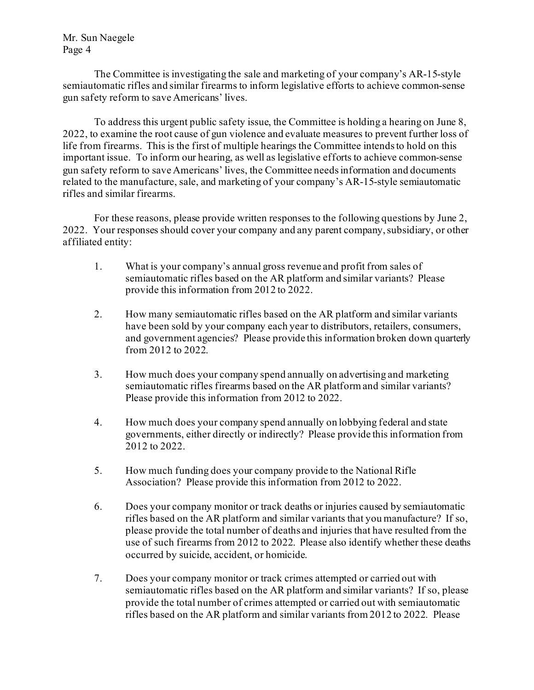The Committee is investigating the sale and marketing of your company's AR-15-style semiautomatic rifles and similar firearms to inform legislative efforts to achieve common-sense gun safety reform to save Americans' lives.

To address this urgent public safety issue, the Committee is holding a hearing on June 8, 2022, to examine the root cause of gun violence and evaluate measures to prevent further loss of life from firearms. This is the first of multiple hearings the Committee intends to hold on this important issue. To inform our hearing, as well as legislative efforts to achieve common-sense gun safety reform to save Americans' lives, the Committee needs information and documents related to the manufacture, sale, and marketing of your company's AR-15-style semiautomatic rifles and similar firearms.

For these reasons, please provide written responses to the following questions by June 2, 2022. Your responses should cover your company and any parent company, subsidiary, or other affiliated entity:

- 1. What is your company's annual gross revenue and profit from sales of semiautomatic rifles based on the AR platform and similar variants? Please provide this information from 2012 to 2022.
- 2. How many semiautomatic rifles based on the AR platform and similar variants have been sold by your company each year to distributors, retailers, consumers, and government agencies? Please provide this information broken down quarterly from 2012 to 2022.
- 3. How much does your company spend annually on advertising and marketing semiautomatic rifles firearms based on the AR platformand similar variants? Please provide this information from 2012 to 2022.
- 4. How much does your company spend annually on lobbying federal and state governments, either directly or indirectly? Please provide this information from 2012 to 2022.
- 5. How much funding does your company provide to the National Rifle Association? Please provide this information from 2012 to 2022.
- 6. Does your company monitor or track deaths or injuries caused by semiautomatic rifles based on the AR platform and similar variants that you manufacture? If so, please provide the total number of deaths and injuries that have resulted from the use of such firearms from 2012 to 2022. Please also identify whether these deaths occurred by suicide, accident, or homicide.
- 7. Does your company monitor or track crimes attempted or carried out with semiautomatic rifles based on the AR platform and similar variants? If so, please provide the total number of crimes attempted or carried out with semiautomatic rifles based on the AR platform and similar variants from 2012 to 2022. Please